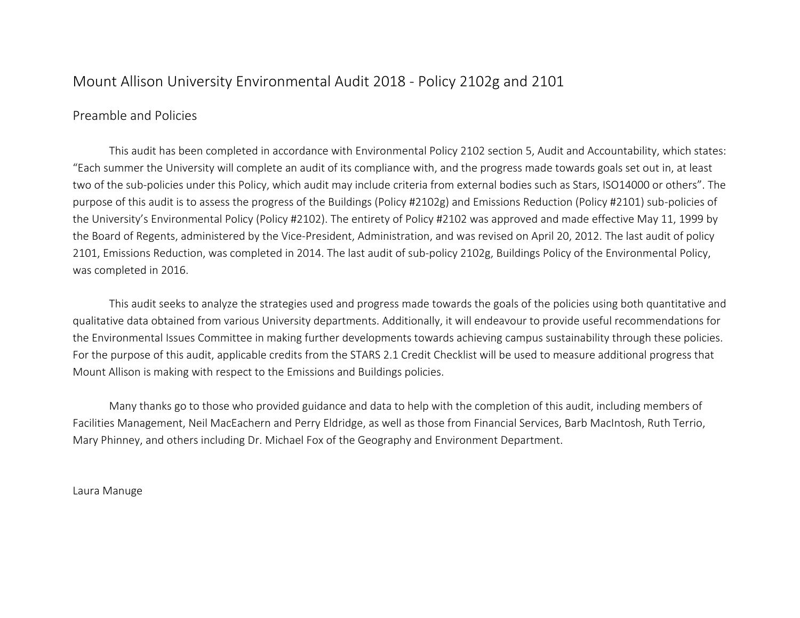# Mount Allison University Environmental Audit 2018 - Policy 2102g and 2101

## Preamble and Policies

This audit has been completed in accordance with Environmental Policy 2102 section 5, Audit and Accountability, which states: "Each summer the University will complete an audit of its compliance with, and the progress made towards goals set out in, at least two of the sub-policies under this Policy, which audit may include criteria from external bodies such as Stars, ISO14000 or others". The purpose of this audit is to assess the progress of the Buildings (Policy #2102g) and Emissions Reduction (Policy #2101) sub-policies of the University's Environmental Policy (Policy #2102). The entirety of Policy #2102 was approved and made effective May 11, 1999 by the Board of Regents, administered by the Vice-President, Administration, and was revised on April 20, 2012. The last audit of policy 2101, Emissions Reduction, was completed in 2014. The last audit of sub-policy 2102g, Buildings Policy of the Environmental Policy, was completed in 2016.

This audit seeks to analyze the strategies used and progress made towards the goals of the policies using both quantitative and qualitative data obtained from various University departments. Additionally, it will endeavour to provide useful recommendations for the Environmental Issues Committee in making further developments towards achieving campus sustainability through these policies. For the purpose of this audit, applicable credits from the STARS 2.1 Credit Checklist will be used to measure additional progress that Mount Allison is making with respect to the Emissions and Buildings policies.

Many thanks go to those who provided guidance and data to help with the completion of this audit, including members of Facilities Management, Neil MacEachern and Perry Eldridge, as well as those from Financial Services, Barb MacIntosh, Ruth Terrio, Mary Phinney, and others including Dr. Michael Fox of the Geography and Environment Department.

Laura Manuge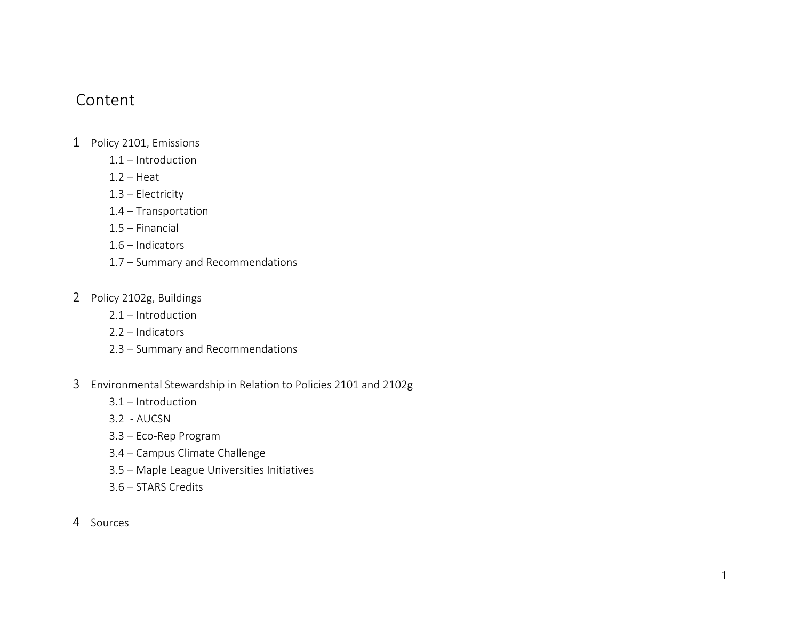# Content

- 1 Policy 2101, Emissions
	- 1.1 Introduction
	- $1.2 -$  Heat
	- 1.3 Electricity
	- 1.4 Transportation
	- 1.5 Financial
	- 1.6 Indicators
	- 1.7 Summary and Recommendations
- 2 Policy 2102g, Buildings
	- 2.1 Introduction
	- 2.2 Indicators
	- 2.3 Summary and Recommendations
- 3 Environmental Stewardship in Relation to Policies 2101 and 2102g
	- 3.1 Introduction
	- 3.2 AUCSN
	- 3.3 Eco-Rep Program
	- 3.4 Campus Climate Challenge
	- 3.5 Maple League Universities Initiatives
	- 3.6 STARS Credits
- 4 Sources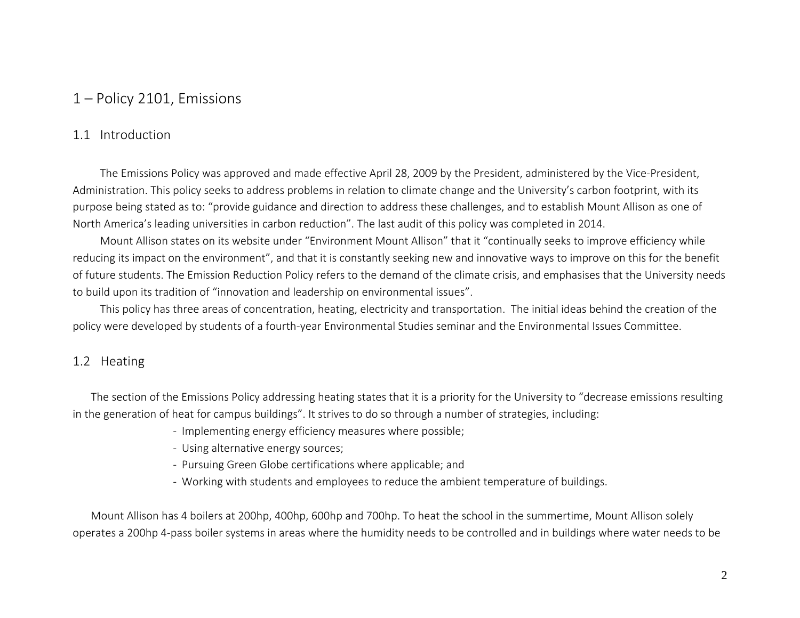# 1 – Policy 2101, Emissions

## 1.1 Introduction

The Emissions Policy was approved and made effective April 28, 2009 by the President, administered by the Vice-President, Administration. This policy seeks to address problems in relation to climate change and the University's carbon footprint, with its purpose being stated as to: "provide guidance and direction to address these challenges, and to establish Mount Allison as one of North America's leading universities in carbon reduction". The last audit of this policy was completed in 2014.

Mount Allison states on its website under "Environment Mount Allison" that it "continually seeks to improve efficiency while reducing its impact on the environment", and that it is constantly seeking new and innovative ways to improve on this for the benefit of future students. The Emission Reduction Policy refers to the demand of the climate crisis, and emphasises that the University needs to build upon its tradition of "innovation and leadership on environmental issues".

This policy has three areas of concentration, heating, electricity and transportation. The initial ideas behind the creation of the policy were developed by students of a fourth-year Environmental Studies seminar and the Environmental Issues Committee.

# 1.2 Heating

The section of the Emissions Policy addressing heating states that it is a priority for the University to "decrease emissions resulting in the generation of heat for campus buildings". It strives to do so through a number of strategies, including:

- Implementing energy efficiency measures where possible;
- Using alternative energy sources;
- Pursuing Green Globe certifications where applicable; and
- Working with students and employees to reduce the ambient temperature of buildings.

Mount Allison has 4 boilers at 200hp, 400hp, 600hp and 700hp. To heat the school in the summertime, Mount Allison solely operates a 200hp 4-pass boiler systems in areas where the humidity needs to be controlled and in buildings where water needs to be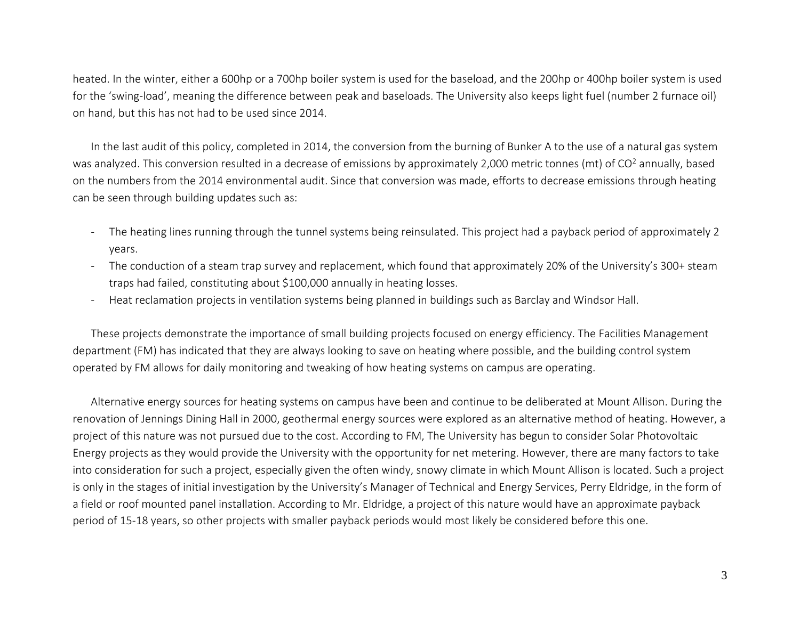heated. In the winter, either a 600hp or a 700hp boiler system is used for the baseload, and the 200hp or 400hp boiler system is used for the 'swing-load', meaning the difference between peak and baseloads. The University also keeps light fuel (number 2 furnace oil) on hand, but this has not had to be used since 2014.

In the last audit of this policy, completed in 2014, the conversion from the burning of Bunker A to the use of a natural gas system was analyzed. This conversion resulted in a decrease of emissions by approximately 2,000 metric tonnes (mt) of CO<sup>2</sup> annually, based on the numbers from the 2014 environmental audit. Since that conversion was made, efforts to decrease emissions through heating can be seen through building updates such as:

- The heating lines running through the tunnel systems being reinsulated. This project had a payback period of approximately 2 years.
- The conduction of a steam trap survey and replacement, which found that approximately 20% of the University's 300+ steam traps had failed, constituting about \$100,000 annually in heating losses.
- Heat reclamation projects in ventilation systems being planned in buildings such as Barclay and Windsor Hall.

These projects demonstrate the importance of small building projects focused on energy efficiency. The Facilities Management department (FM) has indicated that they are always looking to save on heating where possible, and the building control system operated by FM allows for daily monitoring and tweaking of how heating systems on campus are operating.

Alternative energy sources for heating systems on campus have been and continue to be deliberated at Mount Allison. During the renovation of Jennings Dining Hall in 2000, geothermal energy sources were explored as an alternative method of heating. However, a project of this nature was not pursued due to the cost. According to FM, The University has begun to consider Solar Photovoltaic Energy projects as they would provide the University with the opportunity for net metering. However, there are many factors to take into consideration for such a project, especially given the often windy, snowy climate in which Mount Allison is located. Such a project is only in the stages of initial investigation by the University's Manager of Technical and Energy Services, Perry Eldridge, in the form of a field or roof mounted panel installation. According to Mr. Eldridge, a project of this nature would have an approximate payback period of 15-18 years, so other projects with smaller payback periods would most likely be considered before this one.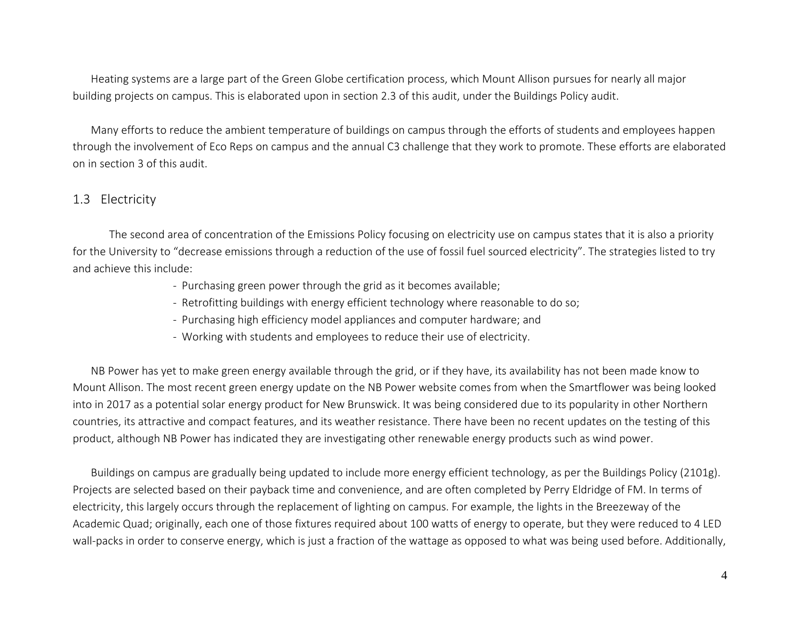Heating systems are a large part of the Green Globe certification process, which Mount Allison pursues for nearly all major building projects on campus. This is elaborated upon in section 2.3 of this audit, under the Buildings Policy audit.

Many efforts to reduce the ambient temperature of buildings on campus through the efforts of students and employees happen through the involvement of Eco Reps on campus and the annual C3 challenge that they work to promote. These efforts are elaborated on in section 3 of this audit.

## 1.3 Electricity

The second area of concentration of the Emissions Policy focusing on electricity use on campus states that it is also a priority for the University to "decrease emissions through a reduction of the use of fossil fuel sourced electricity". The strategies listed to try and achieve this include:

- Purchasing green power through the grid as it becomes available;
- Retrofitting buildings with energy efficient technology where reasonable to do so;
- Purchasing high efficiency model appliances and computer hardware; and
- Working with students and employees to reduce their use of electricity.

NB Power has yet to make green energy available through the grid, or if they have, its availability has not been made know to Mount Allison. The most recent green energy update on the NB Power website comes from when the Smartflower was being looked into in 2017 as a potential solar energy product for New Brunswick. It was being considered due to its popularity in other Northern countries, its attractive and compact features, and its weather resistance. There have been no recent updates on the testing of this product, although NB Power has indicated they are investigating other renewable energy products such as wind power.

Buildings on campus are gradually being updated to include more energy efficient technology, as per the Buildings Policy (2101g). Projects are selected based on their payback time and convenience, and are often completed by Perry Eldridge of FM. In terms of electricity, this largely occurs through the replacement of lighting on campus. For example, the lights in the Breezeway of the Academic Quad; originally, each one of those fixtures required about 100 watts of energy to operate, but they were reduced to 4 LED wall-packs in order to conserve energy, which is just a fraction of the wattage as opposed to what was being used before. Additionally,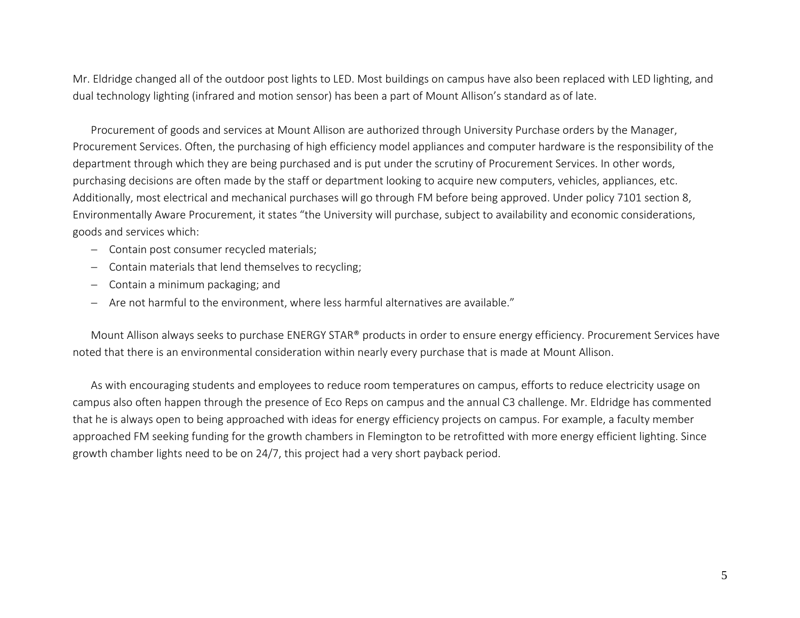Mr. Eldridge changed all of the outdoor post lights to LED. Most buildings on campus have also been replaced with LED lighting, and dual technology lighting (infrared and motion sensor) has been a part of Mount Allison's standard as of late.

Procurement of goods and services at Mount Allison are authorized through University Purchase orders by the Manager, Procurement Services. Often, the purchasing of high efficiency model appliances and computer hardware is the responsibility of the department through which they are being purchased and is put under the scrutiny of Procurement Services. In other words, purchasing decisions are often made by the staff or department looking to acquire new computers, vehicles, appliances, etc. Additionally, most electrical and mechanical purchases will go through FM before being approved. Under policy 7101 section 8, Environmentally Aware Procurement, it states "the University will purchase, subject to availability and economic considerations, goods and services which:

- − Contain post consumer recycled materials;
- − Contain materials that lend themselves to recycling;
- − Contain a minimum packaging; and
- − Are not harmful to the environment, where less harmful alternatives are available."

Mount Allison always seeks to purchase ENERGY STAR® products in order to ensure energy efficiency. Procurement Services have noted that there is an environmental consideration within nearly every purchase that is made at Mount Allison.

As with encouraging students and employees to reduce room temperatures on campus, efforts to reduce electricity usage on campus also often happen through the presence of Eco Reps on campus and the annual C3 challenge. Mr. Eldridge has commented that he is always open to being approached with ideas for energy efficiency projects on campus. For example, a faculty member approached FM seeking funding for the growth chambers in Flemington to be retrofitted with more energy efficient lighting. Since growth chamber lights need to be on 24/7, this project had a very short payback period.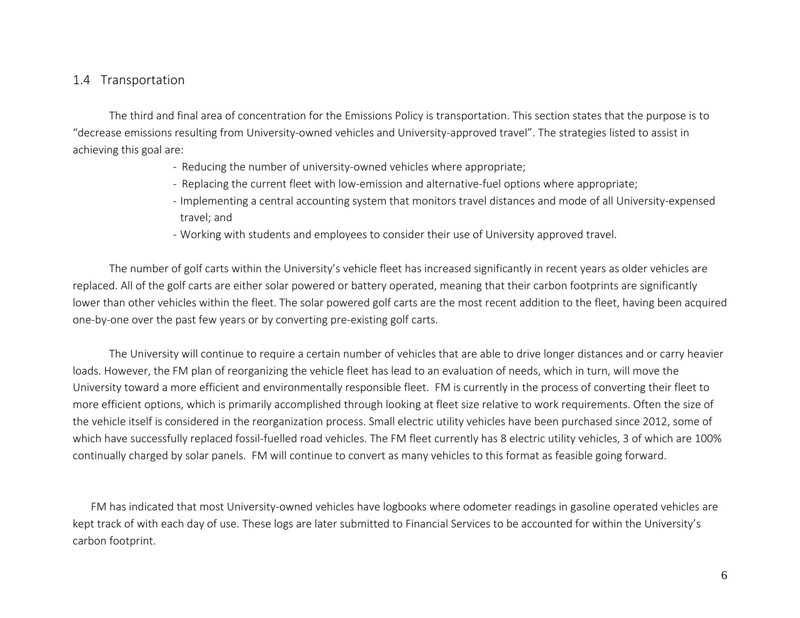## 1.4 Transportation

The third and final area of concentration for the Emissions Policy is transportation. This section states that the purpose is to "decrease emissions resulting from University-owned vehicles and University-approved travel". The strategies listed to assist in achieving this goal are:

- Reducing the number of university-owned vehicles where appropriate;
- Replacing the current fleet with low-emission and alternative-fuel options where appropriate;
- Implementing a central accounting system that monitors travel distances and mode of all University-expensed travel; and
- Working with students and employees to consider their use of University approved travel.

The number of golf carts within the University's vehicle fleet has increased significantly in recent years as older vehicles are replaced. All of the golf carts are either solar powered or battery operated, meaning that their carbon footprints are significantly lower than other vehicles within the fleet. The solar powered golf carts are the most recent addition to the fleet, having been acquired one-by-one over the past few years or by converting pre-existing golf carts.

The University will continue to require a certain number of vehicles that are able to drive longer distances and or carry heavier loads. However, the FM plan of reorganizing the vehicle fleet has lead to an evaluation of needs, which in turn, will move the University toward a more efficient and environmentally responsible fleet. FM is currently in the process of converting their fleet to more efficient options, which is primarily accomplished through looking at fleet size relative to work requirements. Often the size of the vehicle itself is considered in the reorganization process. Small electric utility vehicles have been purchased since 2012, some of which have successfully replaced fossil-fuelled road vehicles. The FM fleet currently has 8 electric utility vehicles, 3 of which are 100% continually charged by solar panels. FM will continue to convert as many vehicles to this format as feasible going forward.

FM has indicated that most University-owned vehicles have logbooks where odometer readings in gasoline operated vehicles are kept track of with each day of use. These logs are later submitted to Financial Services to be accounted for within the University's carbon footprint.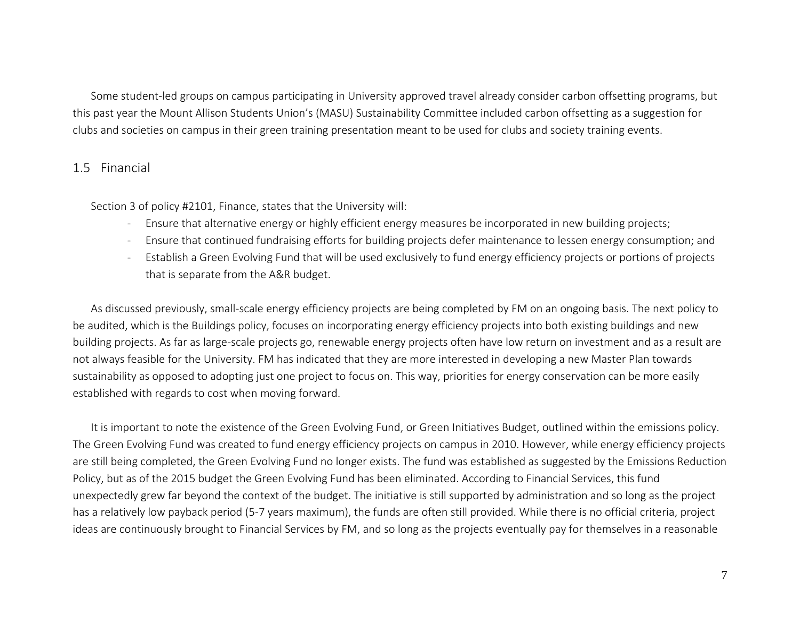Some student-led groups on campus participating in University approved travel already consider carbon offsetting programs, but this past year the Mount Allison Students Union's (MASU) Sustainability Committee included carbon offsetting as a suggestion for clubs and societies on campus in their green training presentation meant to be used for clubs and society training events.

#### 1.5 Financial

Section 3 of policy #2101, Finance, states that the University will:

- Ensure that alternative energy or highly efficient energy measures be incorporated in new building projects;
- Ensure that continued fundraising efforts for building projects defer maintenance to lessen energy consumption; and
- Establish a Green Evolving Fund that will be used exclusively to fund energy efficiency projects or portions of projects that is separate from the A&R budget.

As discussed previously, small-scale energy efficiency projects are being completed by FM on an ongoing basis. The next policy to be audited, which is the Buildings policy, focuses on incorporating energy efficiency projects into both existing buildings and new building projects. As far as large-scale projects go, renewable energy projects often have low return on investment and as a result are not always feasible for the University. FM has indicated that they are more interested in developing a new Master Plan towards sustainability as opposed to adopting just one project to focus on. This way, priorities for energy conservation can be more easily established with regards to cost when moving forward.

It is important to note the existence of the Green Evolving Fund, or Green Initiatives Budget, outlined within the emissions policy. The Green Evolving Fund was created to fund energy efficiency projects on campus in 2010. However, while energy efficiency projects are still being completed, the Green Evolving Fund no longer exists. The fund was established as suggested by the Emissions Reduction Policy, but as of the 2015 budget the Green Evolving Fund has been eliminated. According to Financial Services, this fund unexpectedly grew far beyond the context of the budget. The initiative is still supported by administration and so long as the project has a relatively low payback period (5-7 years maximum), the funds are often still provided. While there is no official criteria, project ideas are continuously brought to Financial Services by FM, and so long as the projects eventually pay for themselves in a reasonable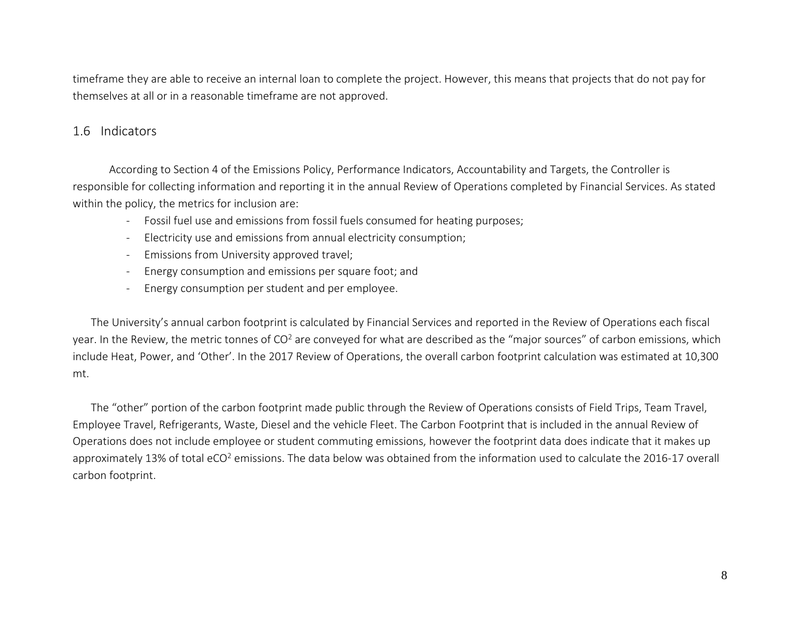timeframe they are able to receive an internal loan to complete the project. However, this means that projects that do not pay for themselves at all or in a reasonable timeframe are not approved.

## 1.6 Indicators

According to Section 4 of the Emissions Policy, Performance Indicators, Accountability and Targets, the Controller is responsible for collecting information and reporting it in the annual Review of Operations completed by Financial Services. As stated within the policy, the metrics for inclusion are:

- Fossil fuel use and emissions from fossil fuels consumed for heating purposes;
- Electricity use and emissions from annual electricity consumption;
- Emissions from University approved travel;
- Energy consumption and emissions per square foot; and
- Energy consumption per student and per employee.

The University's annual carbon footprint is calculated by Financial Services and reported in the Review of Operations each fiscal year. In the Review, the metric tonnes of CO<sup>2</sup> are conveyed for what are described as the "major sources" of carbon emissions, which include Heat, Power, and 'Other'. In the 2017 Review of Operations, the overall carbon footprint calculation was estimated at 10,300 mt.

The "other" portion of the carbon footprint made public through the Review of Operations consists of Field Trips, Team Travel, Employee Travel, Refrigerants, Waste, Diesel and the vehicle Fleet. The Carbon Footprint that is included in the annual Review of Operations does not include employee or student commuting emissions, however the footprint data does indicate that it makes up approximately 13% of total eCO<sup>2</sup> emissions. The data below was obtained from the information used to calculate the 2016-17 overall carbon footprint.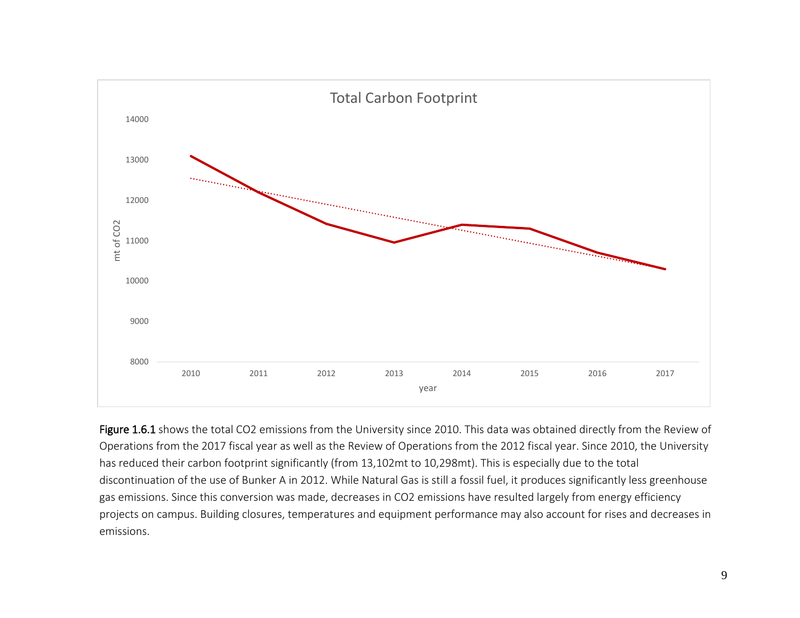

Figure 1.6.1 shows the total CO2 emissions from the University since 2010. This data was obtained directly from the Review of Operations from the 2017 fiscal year as well as the Review of Operations from the 2012 fiscal year. Since 2010, the University has reduced their carbon footprint significantly (from 13,102mt to 10,298mt). This is especially due to the total discontinuation of the use of Bunker A in 2012. While Natural Gas is still a fossil fuel, it produces significantly less greenhouse gas emissions. Since this conversion was made, decreases in CO2 emissions have resulted largely from energy efficiency projects on campus. Building closures, temperatures and equipment performance may also account for rises and decreases in emissions.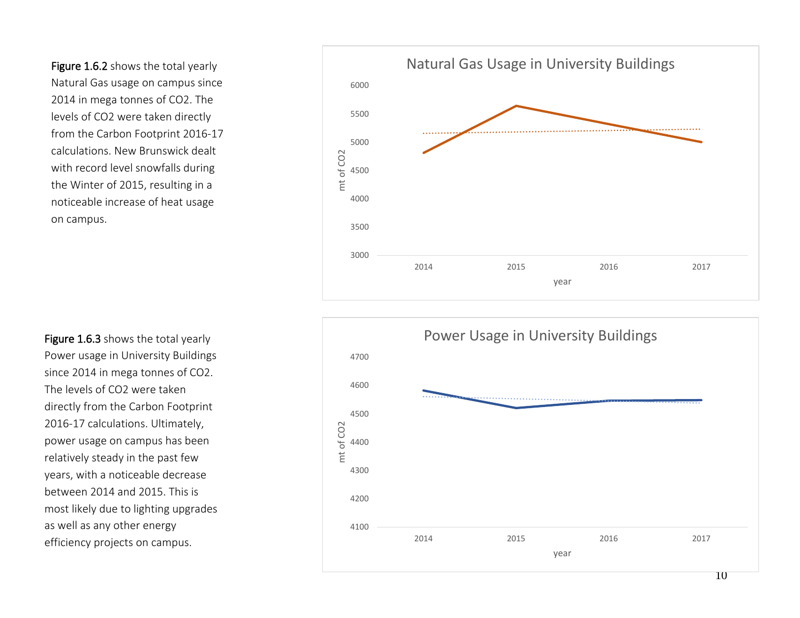Figure 1.6.2 shows the total yearly Natural Gas usage on campus since 2014 in mega tonnes of CO2. The levels of CO2 were taken directly from the Carbon Footprint 2016-17 calculations. New Brunswick dealt with record level snowfalls during the Winter of 2015, resulting in a noticeable increase of heat usage on campus.

Figure 1.6.3 shows the total yearly Power usage in University Buildings since 2014 in mega tonnes of CO2. The levels of CO2 were taken directly from the Carbon Footprint 2016-17 calculations. Ultimately, power usage on campus has been relatively steady in the past few years, with a noticeable decrease between 2014 and 2015. This is most likely due to lighting upgrades as well as any other energy efficiency projects on campus.



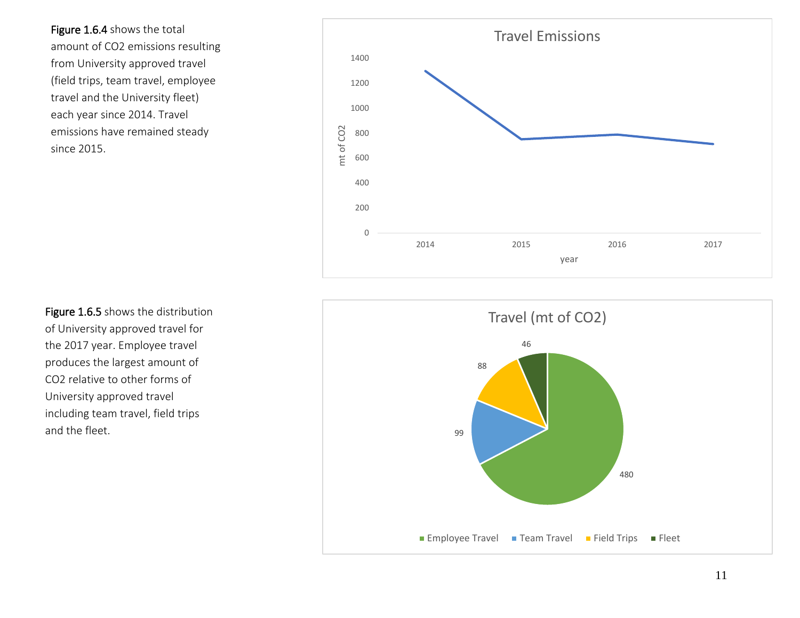Figure 1.6.4 shows the total amount of CO2 emissions resulting from University approved travel (field trips, team travel, employee travel and the University fleet) each year since 2014. Travel emissions have remained steady since 2015.



Figure 1.6.5 shows the distribution of University approved travel for the 2017 year. Employee travel produces the largest amount of CO2 relative to other forms of University approved travel including team travel, field trips and the fleet.

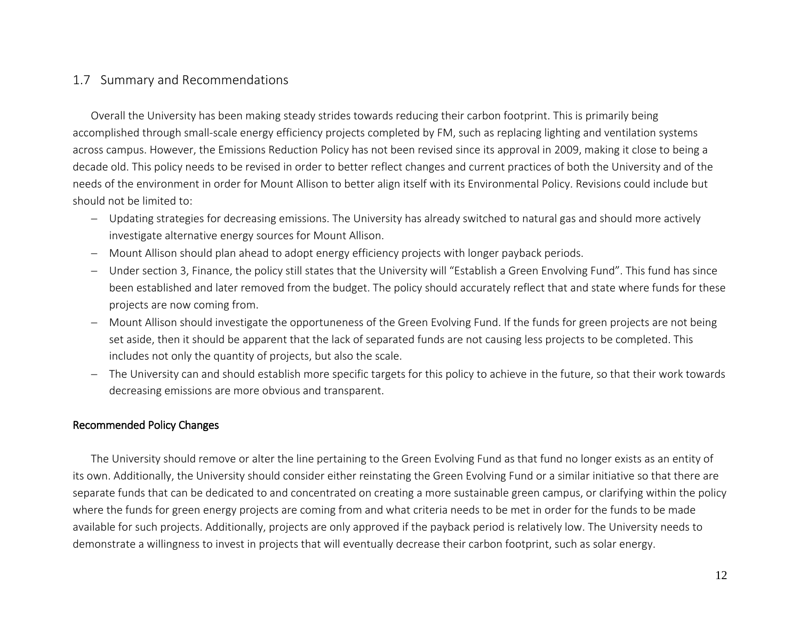## 1.7 Summary and Recommendations

Overall the University has been making steady strides towards reducing their carbon footprint. This is primarily being accomplished through small-scale energy efficiency projects completed by FM, such as replacing lighting and ventilation systems across campus. However, the Emissions Reduction Policy has not been revised since its approval in 2009, making it close to being a decade old. This policy needs to be revised in order to better reflect changes and current practices of both the University and of the needs of the environment in order for Mount Allison to better align itself with its Environmental Policy. Revisions could include but should not be limited to:

- − Updating strategies for decreasing emissions. The University has already switched to natural gas and should more actively investigate alternative energy sources for Mount Allison.
- − Mount Allison should plan ahead to adopt energy efficiency projects with longer payback periods.
- − Under section 3, Finance, the policy still states that the University will "Establish a Green Envolving Fund". This fund has since been established and later removed from the budget. The policy should accurately reflect that and state where funds for these projects are now coming from.
- − Mount Allison should investigate the opportuneness of the Green Evolving Fund. If the funds for green projects are not being set aside, then it should be apparent that the lack of separated funds are not causing less projects to be completed. This includes not only the quantity of projects, but also the scale.
- − The University can and should establish more specific targets for this policy to achieve in the future, so that their work towards decreasing emissions are more obvious and transparent.

## Recommended Policy Changes

The University should remove or alter the line pertaining to the Green Evolving Fund as that fund no longer exists as an entity of its own. Additionally, the University should consider either reinstating the Green Evolving Fund or a similar initiative so that there are separate funds that can be dedicated to and concentrated on creating a more sustainable green campus, or clarifying within the policy where the funds for green energy projects are coming from and what criteria needs to be met in order for the funds to be made available for such projects. Additionally, projects are only approved if the payback period is relatively low. The University needs to demonstrate a willingness to invest in projects that will eventually decrease their carbon footprint, such as solar energy.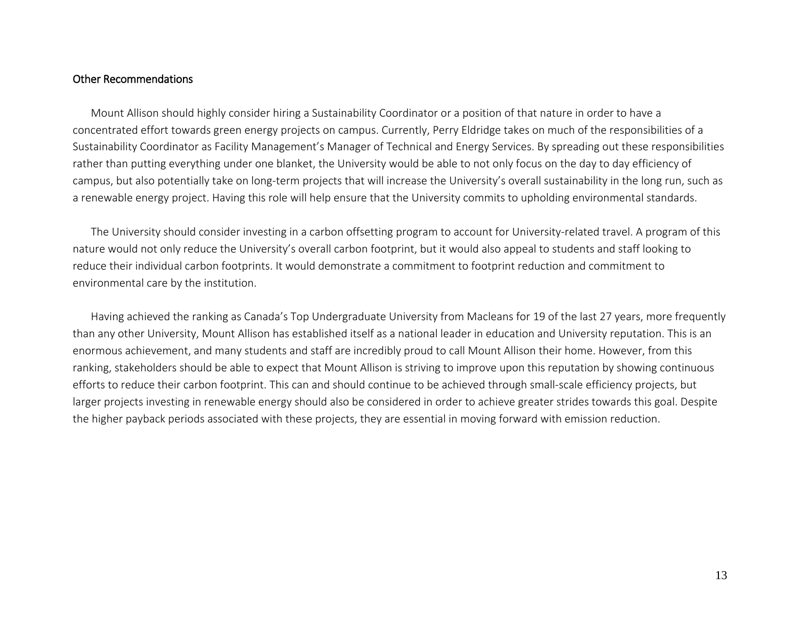#### Other Recommendations

Mount Allison should highly consider hiring a Sustainability Coordinator or a position of that nature in order to have a concentrated effort towards green energy projects on campus. Currently, Perry Eldridge takes on much of the responsibilities of a Sustainability Coordinator as Facility Management's Manager of Technical and Energy Services. By spreading out these responsibilities rather than putting everything under one blanket, the University would be able to not only focus on the day to day efficiency of campus, but also potentially take on long-term projects that will increase the University's overall sustainability in the long run, such as a renewable energy project. Having this role will help ensure that the University commits to upholding environmental standards.

The University should consider investing in a carbon offsetting program to account for University-related travel. A program of this nature would not only reduce the University's overall carbon footprint, but it would also appeal to students and staff looking to reduce their individual carbon footprints. It would demonstrate a commitment to footprint reduction and commitment to environmental care by the institution.

Having achieved the ranking as Canada's Top Undergraduate University from Macleans for 19 of the last 27 years, more frequently than any other University, Mount Allison has established itself as a national leader in education and University reputation. This is an enormous achievement, and many students and staff are incredibly proud to call Mount Allison their home. However, from this ranking, stakeholders should be able to expect that Mount Allison is striving to improve upon this reputation by showing continuous efforts to reduce their carbon footprint. This can and should continue to be achieved through small-scale efficiency projects, but larger projects investing in renewable energy should also be considered in order to achieve greater strides towards this goal. Despite the higher payback periods associated with these projects, they are essential in moving forward with emission reduction.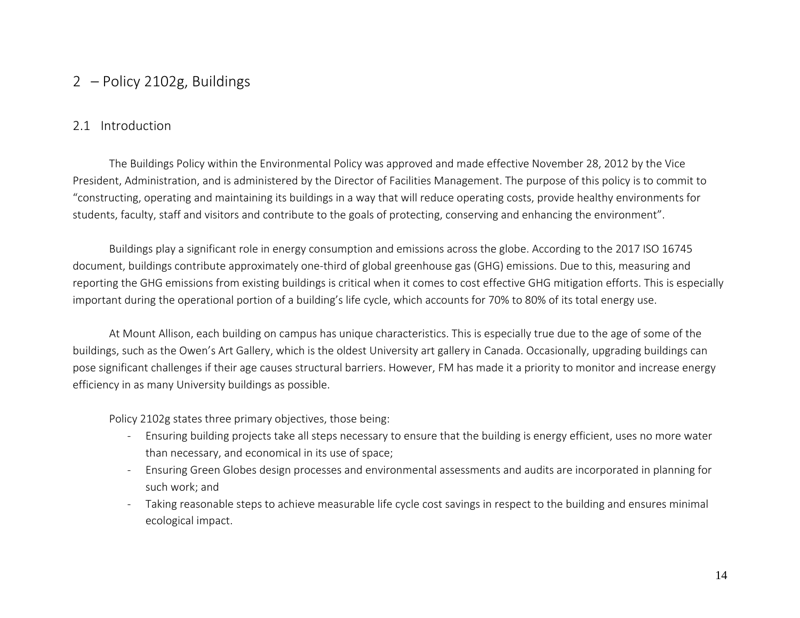# 2 – Policy 2102g, Buildings

## 2.1 Introduction

The Buildings Policy within the Environmental Policy was approved and made effective November 28, 2012 by the Vice President, Administration, and is administered by the Director of Facilities Management. The purpose of this policy is to commit to "constructing, operating and maintaining its buildings in a way that will reduce operating costs, provide healthy environments for students, faculty, staff and visitors and contribute to the goals of protecting, conserving and enhancing the environment".

Buildings play a significant role in energy consumption and emissions across the globe. According to the 2017 ISO 16745 document, buildings contribute approximately one-third of global greenhouse gas (GHG) emissions. Due to this, measuring and reporting the GHG emissions from existing buildings is critical when it comes to cost effective GHG mitigation efforts. This is especially important during the operational portion of a building's life cycle, which accounts for 70% to 80% of its total energy use.

At Mount Allison, each building on campus has unique characteristics. This is especially true due to the age of some of the buildings, such as the Owen's Art Gallery, which is the oldest University art gallery in Canada. Occasionally, upgrading buildings can pose significant challenges if their age causes structural barriers. However, FM has made it a priority to monitor and increase energy efficiency in as many University buildings as possible.

Policy 2102g states three primary objectives, those being:

- Ensuring building projects take all steps necessary to ensure that the building is energy efficient, uses no more water than necessary, and economical in its use of space;
- Ensuring Green Globes design processes and environmental assessments and audits are incorporated in planning for such work; and
- Taking reasonable steps to achieve measurable life cycle cost savings in respect to the building and ensures minimal ecological impact.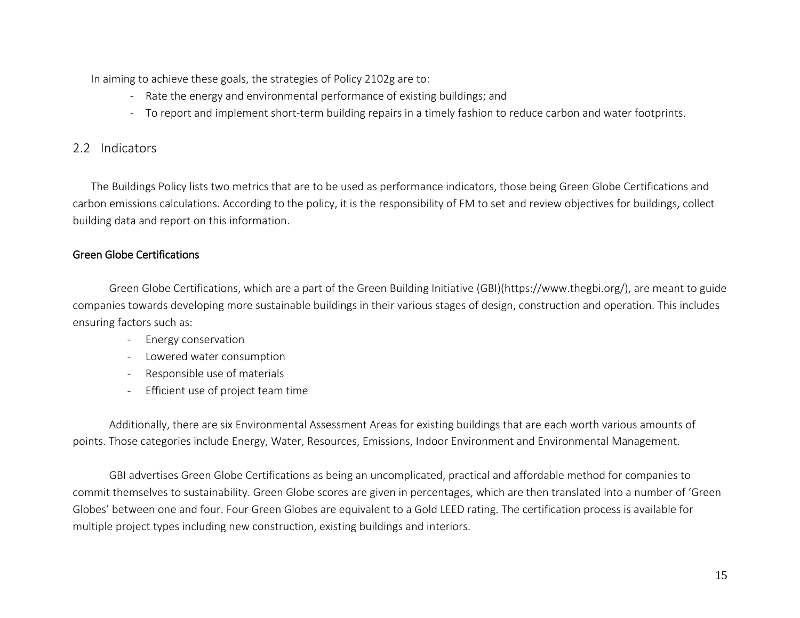In aiming to achieve these goals, the strategies of Policy 2102g are to:

- Rate the energy and environmental performance of existing buildings; and
- To report and implement short-term building repairs in a timely fashion to reduce carbon and water footprints.

# 2.2 Indicators

The Buildings Policy lists two metrics that are to be used as performance indicators, those being Green Globe Certifications and carbon emissions calculations. According to the policy, it is the responsibility of FM to set and review objectives for buildings, collect building data and report on this information.

## Green Globe Certifications

Green Globe Certifications, which are a part of the Green Building Initiative (GBI)(https://www.thegbi.org/), are meant to guide companies towards developing more sustainable buildings in their various stages of design, construction and operation. This includes ensuring factors such as:

- Energy conservation
- Lowered water consumption
- Responsible use of materials
- Efficient use of project team time

Additionally, there are six Environmental Assessment Areas for existing buildings that are each worth various amounts of points. Those categories include Energy, Water, Resources, Emissions, Indoor Environment and Environmental Management.

GBI advertises Green Globe Certifications as being an uncomplicated, practical and affordable method for companies to commit themselves to sustainability. Green Globe scores are given in percentages, which are then translated into a number of 'Green Globes' between one and four. Four Green Globes are equivalent to a Gold LEED rating. The certification process is available for multiple project types including new construction, existing buildings and interiors.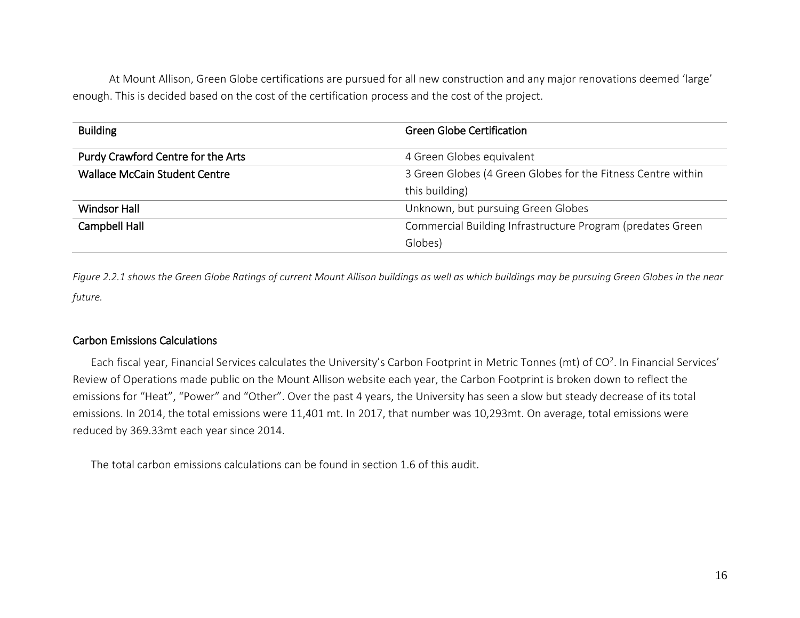At Mount Allison, Green Globe certifications are pursued for all new construction and any major renovations deemed 'large' enough. This is decided based on the cost of the certification process and the cost of the project.

| <b>Building</b>                      | <b>Green Globe Certification</b>                             |
|--------------------------------------|--------------------------------------------------------------|
| Purdy Crawford Centre for the Arts   | 4 Green Globes equivalent                                    |
| <b>Wallace McCain Student Centre</b> | 3 Green Globes (4 Green Globes for the Fitness Centre within |
|                                      | this building)                                               |
| <b>Windsor Hall</b>                  | Unknown, but pursuing Green Globes                           |
| Campbell Hall                        | Commercial Building Infrastructure Program (predates Green   |
|                                      | Globes)                                                      |

*Figure 2.2.1 shows the Green Globe Ratings of current Mount Allison buildings as well as which buildings may be pursuing Green Globes in the near future.*

#### Carbon Emissions Calculations

Each fiscal year, Financial Services calculates the University's Carbon Footprint in Metric Tonnes (mt) of CO<sup>2</sup>. In Financial Services' Review of Operations made public on the Mount Allison website each year, the Carbon Footprint is broken down to reflect the emissions for "Heat", "Power" and "Other". Over the past 4 years, the University has seen a slow but steady decrease of its total emissions. In 2014, the total emissions were 11,401 mt. In 2017, that number was 10,293mt. On average, total emissions were reduced by 369.33mt each year since 2014.

The total carbon emissions calculations can be found in section 1.6 of this audit.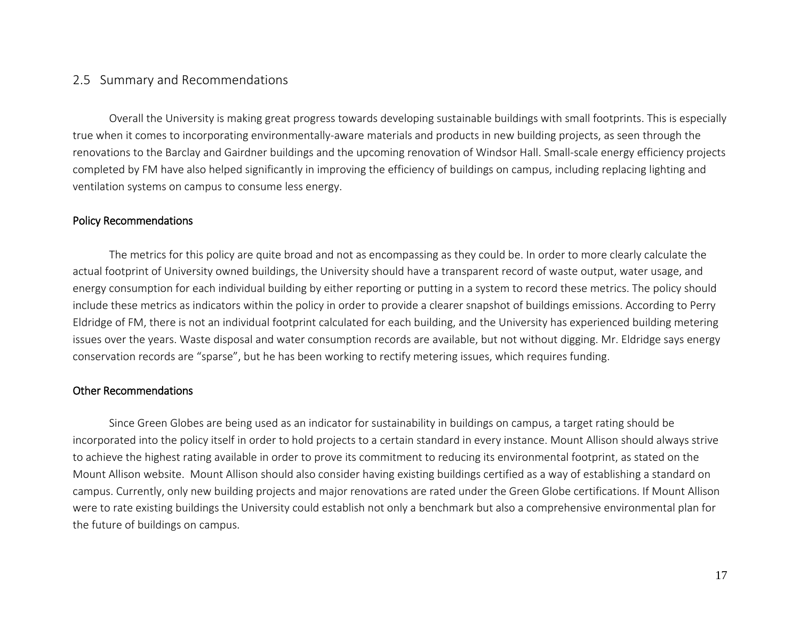## 2.5 Summary and Recommendations

Overall the University is making great progress towards developing sustainable buildings with small footprints. This is especially true when it comes to incorporating environmentally-aware materials and products in new building projects, as seen through the renovations to the Barclay and Gairdner buildings and the upcoming renovation of Windsor Hall. Small-scale energy efficiency projects completed by FM have also helped significantly in improving the efficiency of buildings on campus, including replacing lighting and ventilation systems on campus to consume less energy.

#### Policy Recommendations

The metrics for this policy are quite broad and not as encompassing as they could be. In order to more clearly calculate the actual footprint of University owned buildings, the University should have a transparent record of waste output, water usage, and energy consumption for each individual building by either reporting or putting in a system to record these metrics. The policy should include these metrics as indicators within the policy in order to provide a clearer snapshot of buildings emissions. According to Perry Eldridge of FM, there is not an individual footprint calculated for each building, and the University has experienced building metering issues over the years. Waste disposal and water consumption records are available, but not without digging. Mr. Eldridge says energy conservation records are "sparse", but he has been working to rectify metering issues, which requires funding.

#### Other Recommendations

Since Green Globes are being used as an indicator for sustainability in buildings on campus, a target rating should be incorporated into the policy itself in order to hold projects to a certain standard in every instance. Mount Allison should always strive to achieve the highest rating available in order to prove its commitment to reducing its environmental footprint, as stated on the Mount Allison website. Mount Allison should also consider having existing buildings certified as a way of establishing a standard on campus. Currently, only new building projects and major renovations are rated under the Green Globe certifications. If Mount Allison were to rate existing buildings the University could establish not only a benchmark but also a comprehensive environmental plan for the future of buildings on campus.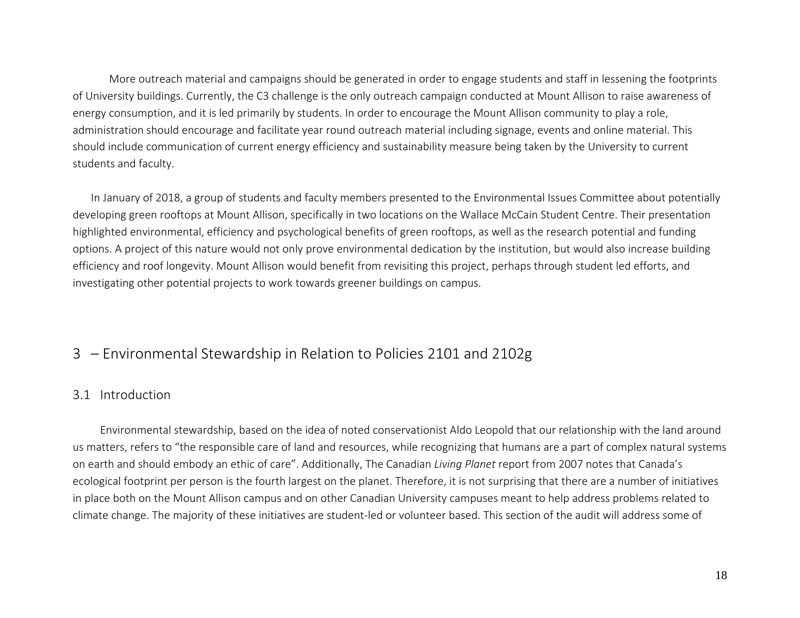More outreach material and campaigns should be generated in order to engage students and staff in lessening the footprints of University buildings. Currently, the C3 challenge is the only outreach campaign conducted at Mount Allison to raise awareness of energy consumption, and it is led primarily by students. In order to encourage the Mount Allison community to play a role, administration should encourage and facilitate year round outreach material including signage, events and online material. This should include communication of current energy efficiency and sustainability measure being taken by the University to current students and faculty.

In January of 2018, a group of students and faculty members presented to the Environmental Issues Committee about potentially developing green rooftops at Mount Allison, specifically in two locations on the Wallace McCain Student Centre. Their presentation highlighted environmental, efficiency and psychological benefits of green rooftops, as well as the research potential and funding options. A project of this nature would not only prove environmental dedication by the institution, but would also increase building efficiency and roof longevity. Mount Allison would benefit from revisiting this project, perhaps through student led efforts, and investigating other potential projects to work towards greener buildings on campus.

# 3 – Environmental Stewardship in Relation to Policies 2101 and 2102g

#### 3.1 Introduction

Environmental stewardship, based on the idea of noted conservationist Aldo Leopold that our relationship with the land around us matters, refers to "the responsible care of land and resources, while recognizing that humans are a part of complex natural systems on earth and should embody an ethic of care". Additionally, The Canadian *Living Planet* report from 2007 notes that Canada's ecological footprint per person is the fourth largest on the planet. Therefore, it is not surprising that there are a number of initiatives in place both on the Mount Allison campus and on other Canadian University campuses meant to help address problems related to climate change. The majority of these initiatives are student-led or volunteer based. This section of the audit will address some of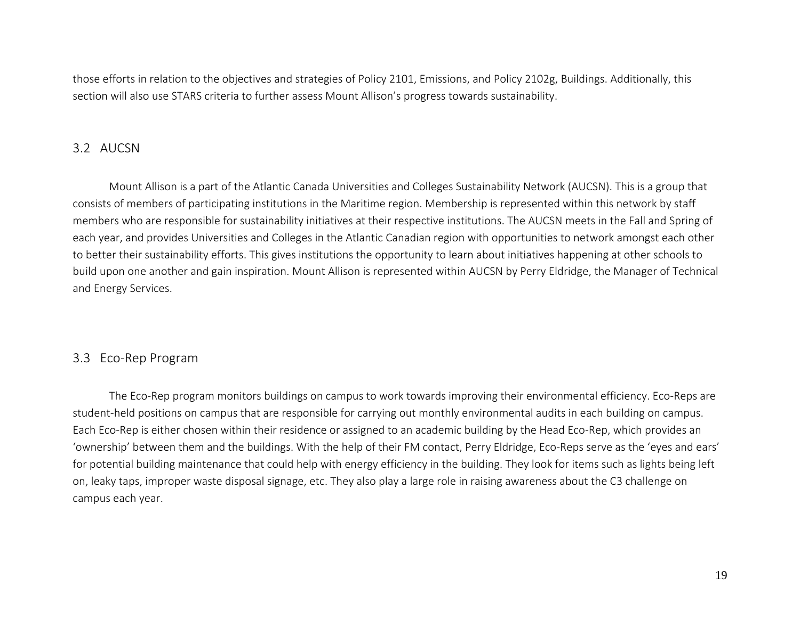those efforts in relation to the objectives and strategies of Policy 2101, Emissions, and Policy 2102g, Buildings. Additionally, this section will also use STARS criteria to further assess Mount Allison's progress towards sustainability.

#### 3.2 AUCSN

Mount Allison is a part of the Atlantic Canada Universities and Colleges Sustainability Network (AUCSN). This is a group that consists of members of participating institutions in the Maritime region. Membership is represented within this network by staff members who are responsible for sustainability initiatives at their respective institutions. The AUCSN meets in the Fall and Spring of each year, and provides Universities and Colleges in the Atlantic Canadian region with opportunities to network amongst each other to better their sustainability efforts. This gives institutions the opportunity to learn about initiatives happening at other schools to build upon one another and gain inspiration. Mount Allison is represented within AUCSN by Perry Eldridge, the Manager of Technical and Energy Services.

## 3.3 Eco-Rep Program

The Eco-Rep program monitors buildings on campus to work towards improving their environmental efficiency. Eco-Reps are student-held positions on campus that are responsible for carrying out monthly environmental audits in each building on campus. Each Eco-Rep is either chosen within their residence or assigned to an academic building by the Head Eco-Rep, which provides an 'ownership' between them and the buildings. With the help of their FM contact, Perry Eldridge, Eco-Reps serve as the 'eyes and ears' for potential building maintenance that could help with energy efficiency in the building. They look for items such as lights being left on, leaky taps, improper waste disposal signage, etc. They also play a large role in raising awareness about the C3 challenge on campus each year.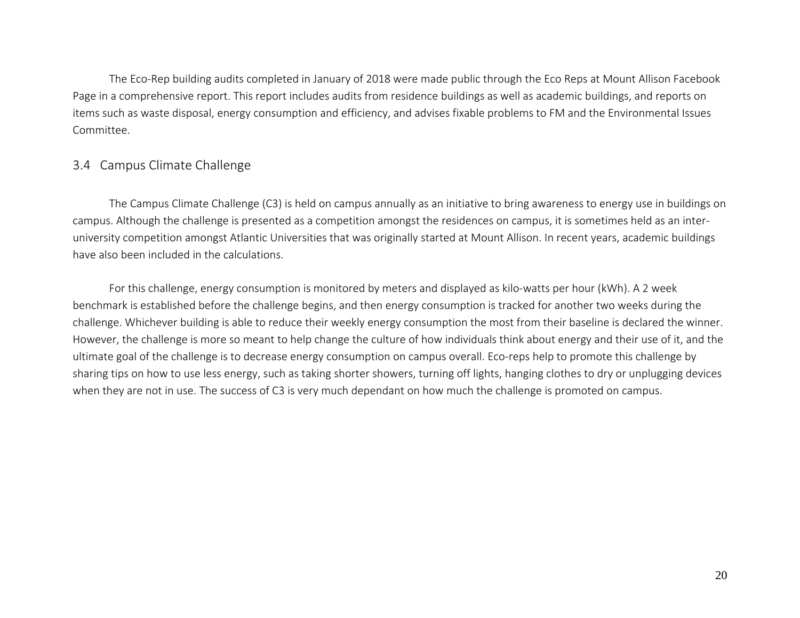The Eco-Rep building audits completed in January of 2018 were made public through the Eco Reps at Mount Allison Facebook Page in a comprehensive report. This report includes audits from residence buildings as well as academic buildings, and reports on items such as waste disposal, energy consumption and efficiency, and advises fixable problems to FM and the Environmental Issues Committee.

# 3.4 Campus Climate Challenge

The Campus Climate Challenge (C3) is held on campus annually as an initiative to bring awareness to energy use in buildings on campus. Although the challenge is presented as a competition amongst the residences on campus, it is sometimes held as an interuniversity competition amongst Atlantic Universities that was originally started at Mount Allison. In recent years, academic buildings have also been included in the calculations.

For this challenge, energy consumption is monitored by meters and displayed as kilo-watts per hour (kWh). A 2 week benchmark is established before the challenge begins, and then energy consumption is tracked for another two weeks during the challenge. Whichever building is able to reduce their weekly energy consumption the most from their baseline is declared the winner. However, the challenge is more so meant to help change the culture of how individuals think about energy and their use of it, and the ultimate goal of the challenge is to decrease energy consumption on campus overall. Eco-reps help to promote this challenge by sharing tips on how to use less energy, such as taking shorter showers, turning off lights, hanging clothes to dry or unplugging devices when they are not in use. The success of C3 is very much dependant on how much the challenge is promoted on campus.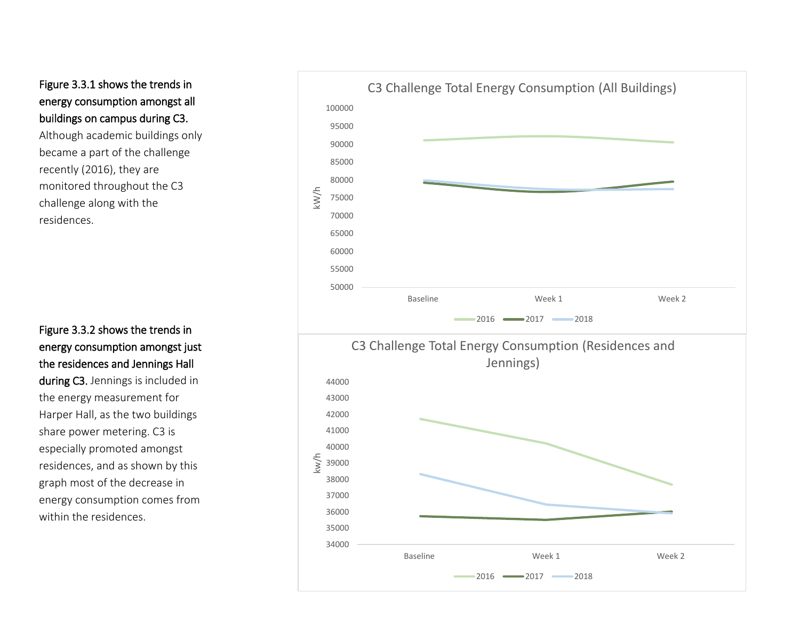# Figure 3.3.1 shows the trends in energy consumption amongst all buildings on campus during C3.

Although academic buildings only became a part of the challenge recently (2016), they are monitored throughout the C3 challenge along with the residences.

Figure 3.3.2 shows the trends in energy consumption amongst just the residences and Jennings Hall

during C3. Jennings is included in the energy measurement for Harper Hall, as the two buildings share power metering. C3 is especially promoted amongst residences, and as shown by this graph most of the decrease in energy consumption comes from within the residences.

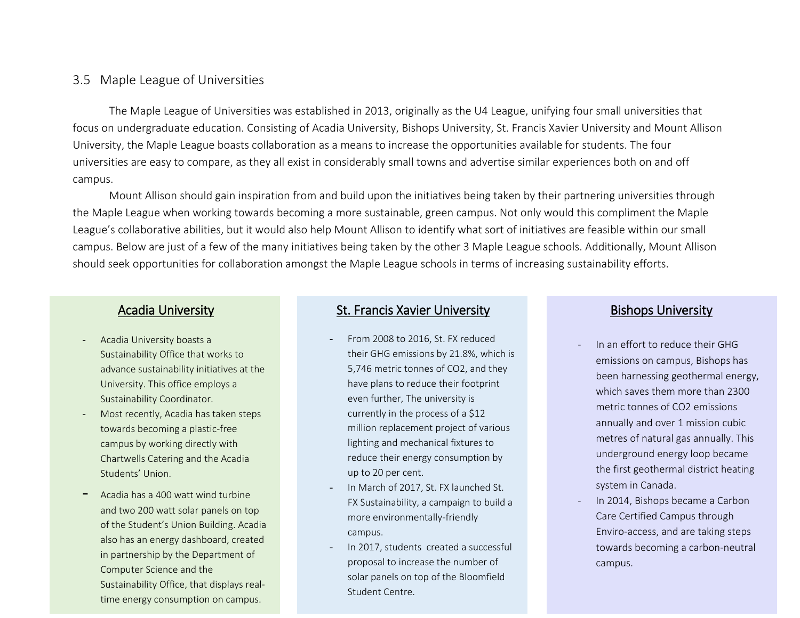## 3.5 Maple League of Universities

The Maple League of Universities was established in 2013, originally as the U4 League, unifying four small universities that focus on undergraduate education. Consisting of Acadia University, Bishops University, St. Francis Xavier University and Mount Allison University, the Maple League boasts collaboration as a means to increase the opportunities available for students. The four universities are easy to compare, as they all exist in considerably small towns and advertise similar experiences both on and off campus.

Mount Allison should gain inspiration from and build upon the initiatives being taken by their partnering universities through the Maple League when working towards becoming a more sustainable, green campus. Not only would this compliment the Maple League's collaborative abilities, but it would also help Mount Allison to identify what sort of initiatives are feasible within our small campus. Below are just of a few of the many initiatives being taken by the other 3 Maple League schools. Additionally, Mount Allison should seek opportunities for collaboration amongst the Maple League schools in terms of increasing sustainability efforts.

## Acadia University

- Acadia University boasts a Sustainability Office that works to advance sustainability initiatives at the University. This office employs a Sustainability Coordinator.
- Most recently, Acadia has taken steps towards becoming a plastic-free campus by working directly with Chartwells Catering and the Acadia Students' Union.
- Acadia has a 400 watt wind turbine and two 200 watt solar panels on top of the Student's Union Building. Acadia also has an energy dashboard, created in partnership by the Department of Computer Science and the Sustainability Office, that displays realtime energy consumption on campus.

## St. Francis Xavier University

- From 2008 to 2016, St. FX reduced their GHG emissions by 21.8%, which is 5,746 metric tonnes of CO2, and they have plans to reduce their footprint even further, The university is currently in the process of a \$12 million replacement project of various lighting and mechanical fixtures to reduce their energy consumption by up to 20 per cent.
- In March of 2017, St. FX launched St. FX Sustainability, a campaign to build a more environmentally-friendly campus.
- In 2017, students created a successful proposal to increase the number of solar panels on top of the Bloomfield Student Centre.

## Bishops University

- In an effort to reduce their GHG emissions on campus, Bishops has been harnessing geothermal energy, which saves them more than 2300 metric tonnes of CO2 emissions annually and over 1 mission cubic metres of natural gas annually. This underground energy loop became the first geothermal district heating system in Canada.
- In 2014, Bishops became a Carbon Care Certified Campus through Enviro-access, and are taking steps towards becoming a carbon-neutral campus.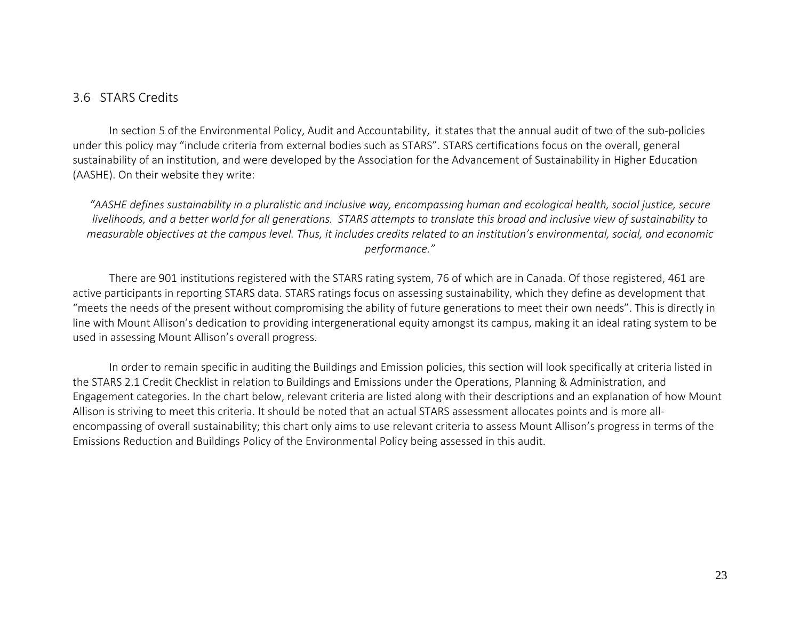## 3.6 STARS Credits

In section 5 of the Environmental Policy, Audit and Accountability, it states that the annual audit of two of the sub-policies under this policy may "include criteria from external bodies such as STARS". STARS certifications focus on the overall, general sustainability of an institution, and were developed by the Association for the Advancement of Sustainability in Higher Education (AASHE). On their website they write:

*"AASHE defines sustainability in a pluralistic and inclusive way, encompassing human and ecological health, social justice, secure livelihoods, and a better world for all generations. STARS attempts to translate this broad and inclusive view of sustainability to measurable objectives at the campus level. Thus, it includes credits related to an institution's environmental, social, and economic performance."*

There are 901 institutions registered with the STARS rating system, 76 of which are in Canada. Of those registered, 461 are active participants in reporting STARS data. STARS ratings focus on assessing sustainability, which they define as development that "meets the needs of the present without compromising the ability of future generations to meet their own needs". This is directly in line with Mount Allison's dedication to providing intergenerational equity amongst its campus, making it an ideal rating system to be used in assessing Mount Allison's overall progress.

In order to remain specific in auditing the Buildings and Emission policies, this section will look specifically at criteria listed in the STARS 2.1 Credit Checklist in relation to Buildings and Emissions under the Operations, Planning & Administration, and Engagement categories. In the chart below, relevant criteria are listed along with their descriptions and an explanation of how Mount Allison is striving to meet this criteria. It should be noted that an actual STARS assessment allocates points and is more allencompassing of overall sustainability; this chart only aims to use relevant criteria to assess Mount Allison's progress in terms of the Emissions Reduction and Buildings Policy of the Environmental Policy being assessed in this audit.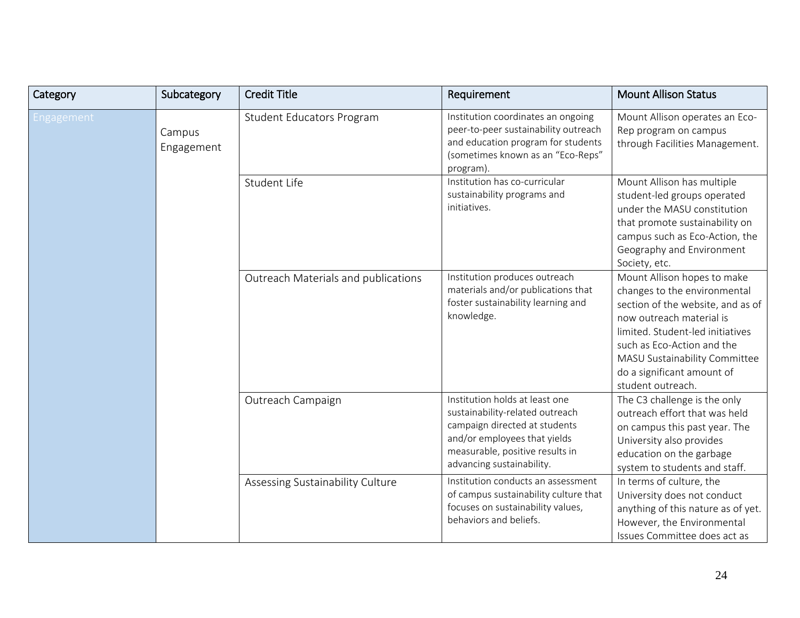| Category   | Subcategory          | <b>Credit Title</b>                 | Requirement                                                                                                                                                                                        | <b>Mount Allison Status</b>                                                                                                                                                                                                                                                        |
|------------|----------------------|-------------------------------------|----------------------------------------------------------------------------------------------------------------------------------------------------------------------------------------------------|------------------------------------------------------------------------------------------------------------------------------------------------------------------------------------------------------------------------------------------------------------------------------------|
| Engagement | Campus<br>Engagement | Student Educators Program           | Institution coordinates an ongoing<br>peer-to-peer sustainability outreach<br>and education program for students<br>(sometimes known as an "Eco-Reps"<br>program).                                 | Mount Allison operates an Eco-<br>Rep program on campus<br>through Facilities Management.                                                                                                                                                                                          |
|            |                      | Student Life                        | Institution has co-curricular<br>sustainability programs and<br>initiatives.                                                                                                                       | Mount Allison has multiple<br>student-led groups operated<br>under the MASU constitution<br>that promote sustainability on<br>campus such as Eco-Action, the<br>Geography and Environment<br>Society, etc.                                                                         |
|            |                      | Outreach Materials and publications | Institution produces outreach<br>materials and/or publications that<br>foster sustainability learning and<br>knowledge.                                                                            | Mount Allison hopes to make<br>changes to the environmental<br>section of the website, and as of<br>now outreach material is<br>limited. Student-led initiatives<br>such as Eco-Action and the<br>MASU Sustainability Committee<br>do a significant amount of<br>student outreach. |
|            |                      | Outreach Campaign                   | Institution holds at least one<br>sustainability-related outreach<br>campaign directed at students<br>and/or employees that yields<br>measurable, positive results in<br>advancing sustainability. | The C3 challenge is the only<br>outreach effort that was held<br>on campus this past year. The<br>University also provides<br>education on the garbage<br>system to students and staff.                                                                                            |
|            |                      | Assessing Sustainability Culture    | Institution conducts an assessment<br>of campus sustainability culture that<br>focuses on sustainability values,<br>behaviors and beliefs.                                                         | In terms of culture, the<br>University does not conduct<br>anything of this nature as of yet.<br>However, the Environmental<br>Issues Committee does act as                                                                                                                        |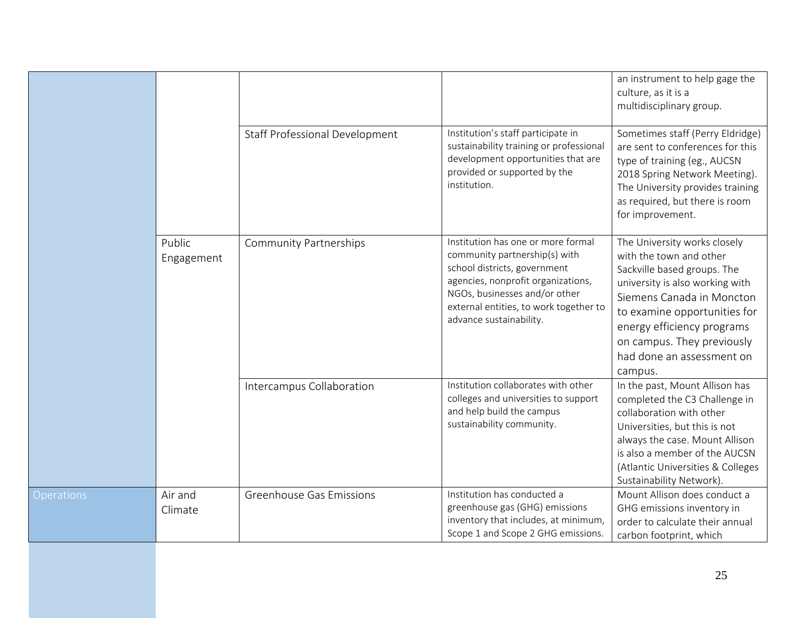|                   |                      |                                       |                                                                                                                                                                                                                                                 | an instrument to help gage the<br>culture, as it is a<br>multidisciplinary group.                                                                                                                                                                                                          |
|-------------------|----------------------|---------------------------------------|-------------------------------------------------------------------------------------------------------------------------------------------------------------------------------------------------------------------------------------------------|--------------------------------------------------------------------------------------------------------------------------------------------------------------------------------------------------------------------------------------------------------------------------------------------|
|                   |                      | <b>Staff Professional Development</b> | Institution's staff participate in<br>sustainability training or professional<br>development opportunities that are<br>provided or supported by the<br>institution.                                                                             | Sometimes staff (Perry Eldridge)<br>are sent to conferences for this<br>type of training (eg., AUCSN<br>2018 Spring Network Meeting).<br>The University provides training<br>as required, but there is room<br>for improvement.                                                            |
|                   | Public<br>Engagement | <b>Community Partnerships</b>         | Institution has one or more formal<br>community partnership(s) with<br>school districts, government<br>agencies, nonprofit organizations,<br>NGOs, businesses and/or other<br>external entities, to work together to<br>advance sustainability. | The University works closely<br>with the town and other<br>Sackville based groups. The<br>university is also working with<br>Siemens Canada in Moncton<br>to examine opportunities for<br>energy efficiency programs<br>on campus. They previously<br>had done an assessment on<br>campus. |
|                   |                      | Intercampus Collaboration             | Institution collaborates with other<br>colleges and universities to support<br>and help build the campus<br>sustainability community.                                                                                                           | In the past, Mount Allison has<br>completed the C3 Challenge in<br>collaboration with other<br>Universities, but this is not<br>always the case. Mount Allison<br>is also a member of the AUCSN<br>(Atlantic Universities & Colleges<br>Sustainability Network).                           |
| <b>Operations</b> | Air and<br>Climate   | Greenhouse Gas Emissions              | Institution has conducted a<br>greenhouse gas (GHG) emissions<br>inventory that includes, at minimum,<br>Scope 1 and Scope 2 GHG emissions.                                                                                                     | Mount Allison does conduct a<br>GHG emissions inventory in<br>order to calculate their annual<br>carbon footprint, which                                                                                                                                                                   |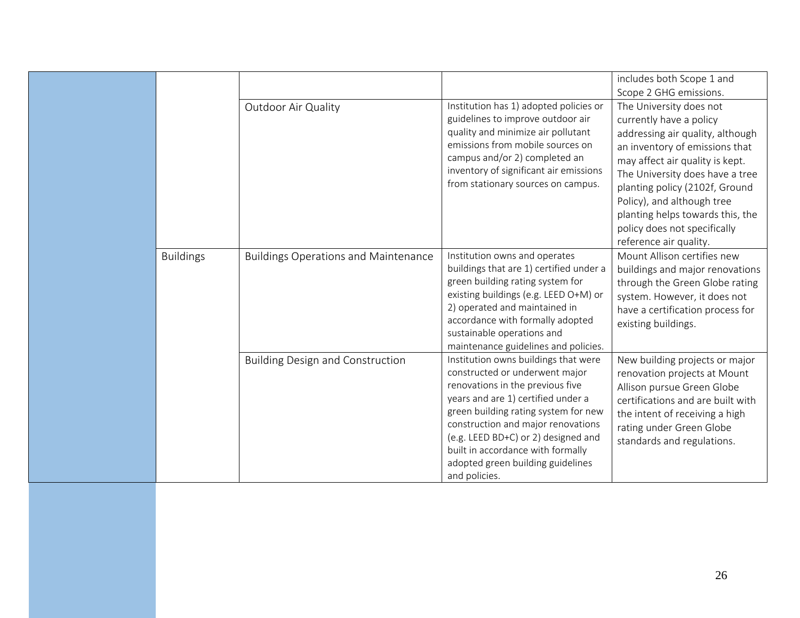|                  | Outdoor Air Quality                         | Institution has 1) adopted policies or<br>guidelines to improve outdoor air<br>quality and minimize air pollutant<br>emissions from mobile sources on<br>campus and/or 2) completed an<br>inventory of significant air emissions<br>from stationary sources on campus.                                                                                           | includes both Scope 1 and<br>Scope 2 GHG emissions.<br>The University does not<br>currently have a policy<br>addressing air quality, although<br>an inventory of emissions that<br>may affect air quality is kept.<br>The University does have a tree<br>planting policy (2102f, Ground<br>Policy), and although tree<br>planting helps towards this, the<br>policy does not specifically |
|------------------|---------------------------------------------|------------------------------------------------------------------------------------------------------------------------------------------------------------------------------------------------------------------------------------------------------------------------------------------------------------------------------------------------------------------|-------------------------------------------------------------------------------------------------------------------------------------------------------------------------------------------------------------------------------------------------------------------------------------------------------------------------------------------------------------------------------------------|
| <b>Buildings</b> | <b>Buildings Operations and Maintenance</b> | Institution owns and operates<br>buildings that are 1) certified under a<br>green building rating system for<br>existing buildings (e.g. LEED O+M) or<br>2) operated and maintained in<br>accordance with formally adopted<br>sustainable operations and<br>maintenance guidelines and policies.                                                                 | reference air quality.<br>Mount Allison certifies new<br>buildings and major renovations<br>through the Green Globe rating<br>system. However, it does not<br>have a certification process for<br>existing buildings.                                                                                                                                                                     |
|                  | <b>Building Design and Construction</b>     | Institution owns buildings that were<br>constructed or underwent major<br>renovations in the previous five<br>years and are 1) certified under a<br>green building rating system for new<br>construction and major renovations<br>(e.g. LEED BD+C) or 2) designed and<br>built in accordance with formally<br>adopted green building guidelines<br>and policies. | New building projects or major<br>renovation projects at Mount<br>Allison pursue Green Globe<br>certifications and are built with<br>the intent of receiving a high<br>rating under Green Globe<br>standards and regulations.                                                                                                                                                             |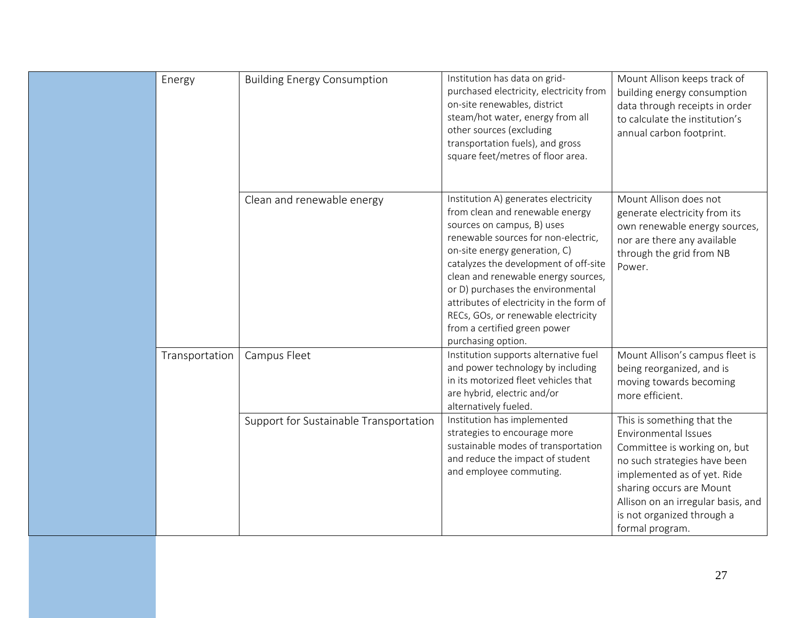|  | Energy         | <b>Building Energy Consumption</b>     | Institution has data on grid-<br>purchased electricity, electricity from<br>on-site renewables, district<br>steam/hot water, energy from all<br>other sources (excluding<br>transportation fuels), and gross<br>square feet/metres of floor area.                                                                                                                                                                                           | Mount Allison keeps track of<br>building energy consumption<br>data through receipts in order<br>to calculate the institution's<br>annual carbon footprint.                                                                                                          |
|--|----------------|----------------------------------------|---------------------------------------------------------------------------------------------------------------------------------------------------------------------------------------------------------------------------------------------------------------------------------------------------------------------------------------------------------------------------------------------------------------------------------------------|----------------------------------------------------------------------------------------------------------------------------------------------------------------------------------------------------------------------------------------------------------------------|
|  |                | Clean and renewable energy             | Institution A) generates electricity<br>from clean and renewable energy<br>sources on campus, B) uses<br>renewable sources for non-electric,<br>on-site energy generation, C)<br>catalyzes the development of off-site<br>clean and renewable energy sources,<br>or D) purchases the environmental<br>attributes of electricity in the form of<br>RECs, GOs, or renewable electricity<br>from a certified green power<br>purchasing option. | Mount Allison does not<br>generate electricity from its<br>own renewable energy sources,<br>nor are there any available<br>through the grid from NB<br>Power.                                                                                                        |
|  | Transportation | Campus Fleet                           | Institution supports alternative fuel<br>and power technology by including<br>in its motorized fleet vehicles that<br>are hybrid, electric and/or<br>alternatively fueled.                                                                                                                                                                                                                                                                  | Mount Allison's campus fleet is<br>being reorganized, and is<br>moving towards becoming<br>more efficient.                                                                                                                                                           |
|  |                | Support for Sustainable Transportation | Institution has implemented<br>strategies to encourage more<br>sustainable modes of transportation<br>and reduce the impact of student<br>and employee commuting.                                                                                                                                                                                                                                                                           | This is something that the<br>Environmental Issues<br>Committee is working on, but<br>no such strategies have been<br>implemented as of yet. Ride<br>sharing occurs are Mount<br>Allison on an irregular basis, and<br>is not organized through a<br>formal program. |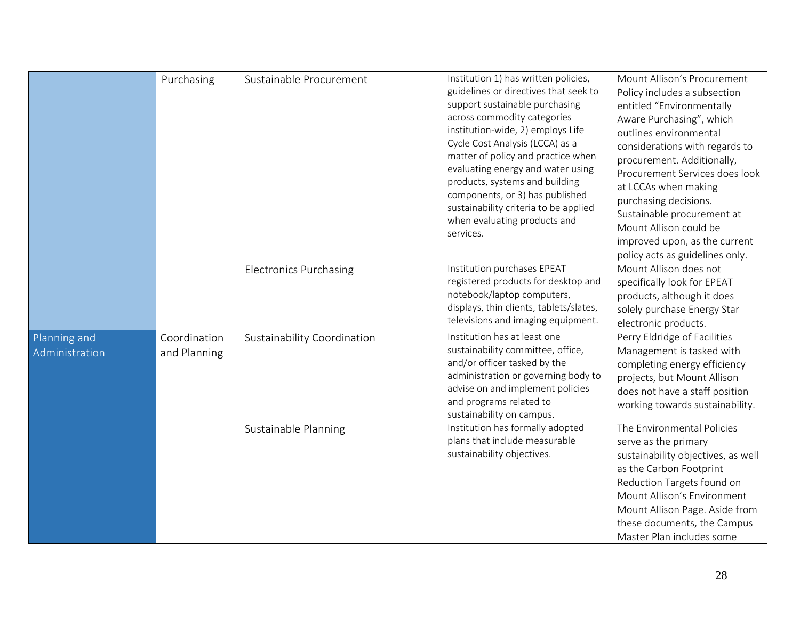|                                | Purchasing                   | Sustainable Procurement       | Institution 1) has written policies,<br>guidelines or directives that seek to<br>support sustainable purchasing<br>across commodity categories<br>institution-wide, 2) employs Life<br>Cycle Cost Analysis (LCCA) as a<br>matter of policy and practice when<br>evaluating energy and water using<br>products, systems and building<br>components, or 3) has published<br>sustainability criteria to be applied<br>when evaluating products and<br>services. | Mount Allison's Procurement<br>Policy includes a subsection<br>entitled "Environmentally<br>Aware Purchasing", which<br>outlines environmental<br>considerations with regards to<br>procurement. Additionally,<br>Procurement Services does look<br>at LCCAs when making<br>purchasing decisions.<br>Sustainable procurement at<br>Mount Allison could be<br>improved upon, as the current<br>policy acts as guidelines only. |
|--------------------------------|------------------------------|-------------------------------|--------------------------------------------------------------------------------------------------------------------------------------------------------------------------------------------------------------------------------------------------------------------------------------------------------------------------------------------------------------------------------------------------------------------------------------------------------------|-------------------------------------------------------------------------------------------------------------------------------------------------------------------------------------------------------------------------------------------------------------------------------------------------------------------------------------------------------------------------------------------------------------------------------|
|                                |                              | <b>Electronics Purchasing</b> | Institution purchases EPEAT<br>registered products for desktop and<br>notebook/laptop computers,<br>displays, thin clients, tablets/slates,<br>televisions and imaging equipment.                                                                                                                                                                                                                                                                            | Mount Allison does not<br>specifically look for EPEAT<br>products, although it does<br>solely purchase Energy Star<br>electronic products.                                                                                                                                                                                                                                                                                    |
| Planning and<br>Administration | Coordination<br>and Planning | Sustainability Coordination   | Institution has at least one<br>sustainability committee, office,<br>and/or officer tasked by the<br>administration or governing body to<br>advise on and implement policies<br>and programs related to<br>sustainability on campus.                                                                                                                                                                                                                         | Perry Eldridge of Facilities<br>Management is tasked with<br>completing energy efficiency<br>projects, but Mount Allison<br>does not have a staff position<br>working towards sustainability.                                                                                                                                                                                                                                 |
|                                |                              | Sustainable Planning          | Institution has formally adopted<br>plans that include measurable<br>sustainability objectives.                                                                                                                                                                                                                                                                                                                                                              | The Environmental Policies<br>serve as the primary<br>sustainability objectives, as well<br>as the Carbon Footprint<br>Reduction Targets found on<br>Mount Allison's Environment<br>Mount Allison Page. Aside from<br>these documents, the Campus<br>Master Plan includes some                                                                                                                                                |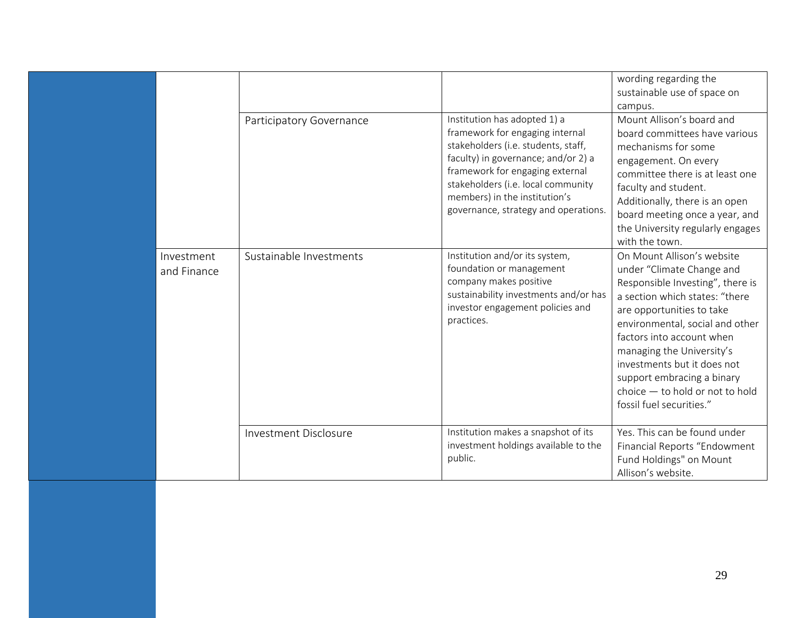|                           |                          |                                                                                                                                                                                                                                                                                                 | wording regarding the<br>sustainable use of space on<br>campus.                                                                                                                                                                                                                                                                                                                       |
|---------------------------|--------------------------|-------------------------------------------------------------------------------------------------------------------------------------------------------------------------------------------------------------------------------------------------------------------------------------------------|---------------------------------------------------------------------------------------------------------------------------------------------------------------------------------------------------------------------------------------------------------------------------------------------------------------------------------------------------------------------------------------|
|                           | Participatory Governance | Institution has adopted 1) a<br>framework for engaging internal<br>stakeholders (i.e. students, staff,<br>faculty) in governance; and/or 2) a<br>framework for engaging external<br>stakeholders (i.e. local community<br>members) in the institution's<br>governance, strategy and operations. | Mount Allison's board and<br>board committees have various<br>mechanisms for some<br>engagement. On every<br>committee there is at least one<br>faculty and student.<br>Additionally, there is an open<br>board meeting once a year, and<br>the University regularly engages<br>with the town.                                                                                        |
| Investment<br>and Finance | Sustainable Investments  | Institution and/or its system,<br>foundation or management<br>company makes positive<br>sustainability investments and/or has<br>investor engagement policies and<br>practices.                                                                                                                 | On Mount Allison's website<br>under "Climate Change and<br>Responsible Investing", there is<br>a section which states: "there<br>are opportunities to take<br>environmental, social and other<br>factors into account when<br>managing the University's<br>investments but it does not<br>support embracing a binary<br>$choice - to hold$ or not to hold<br>fossil fuel securities." |
|                           | Investment Disclosure    | Institution makes a snapshot of its<br>investment holdings available to the<br>public.                                                                                                                                                                                                          | Yes. This can be found under<br>Financial Reports "Endowment<br>Fund Holdings" on Mount<br>Allison's website.                                                                                                                                                                                                                                                                         |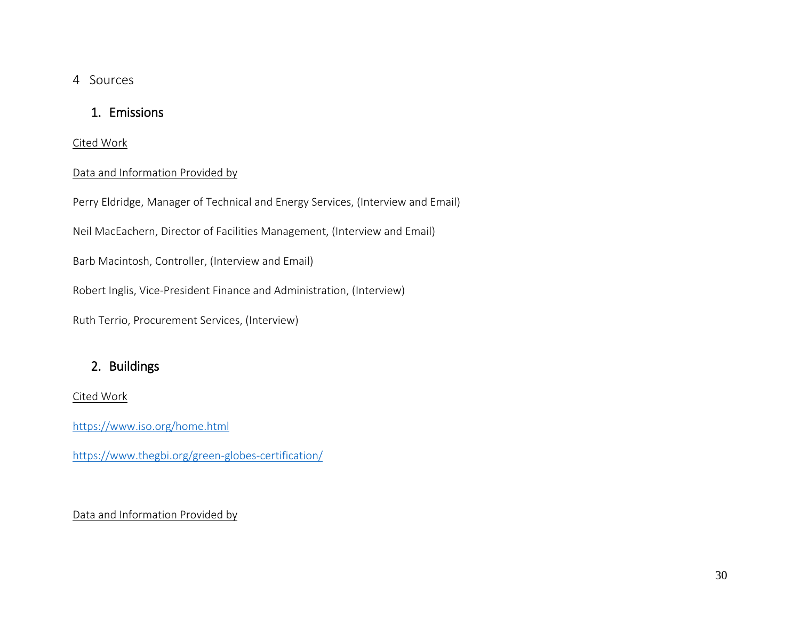## 4 Sources

# 1. Emissions

Cited Work

## Data and Information Provided by

Perry Eldridge, Manager of Technical and Energy Services, (Interview and Email)

Neil MacEachern, Director of Facilities Management, (Interview and Email)

Barb Macintosh, Controller, (Interview and Email)

Robert Inglis, Vice-President Finance and Administration, (Interview)

Ruth Terrio, Procurement Services, (Interview)

# 2. Buildings

Cited Work

<https://www.iso.org/home.html>

<https://www.thegbi.org/green-globes-certification/>

## Data and Information Provided by